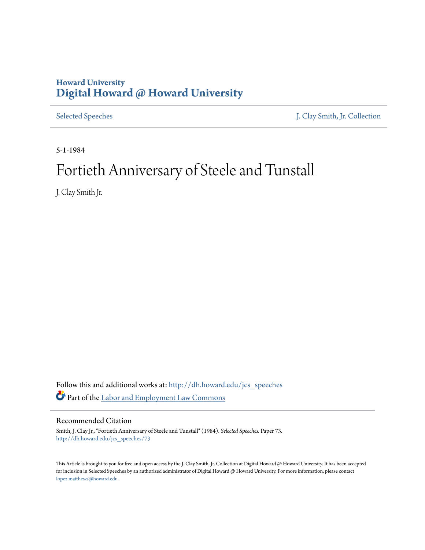## **Howard University [Digital Howard @ Howard University](http://dh.howard.edu?utm_source=dh.howard.edu%2Fjcs_speeches%2F73&utm_medium=PDF&utm_campaign=PDFCoverPages)**

[Selected Speeches](http://dh.howard.edu/jcs_speeches?utm_source=dh.howard.edu%2Fjcs_speeches%2F73&utm_medium=PDF&utm_campaign=PDFCoverPages) [J. Clay Smith, Jr. Collection](http://dh.howard.edu/jcsmith?utm_source=dh.howard.edu%2Fjcs_speeches%2F73&utm_medium=PDF&utm_campaign=PDFCoverPages)

5-1-1984

## Fortieth Anniversary of Steele and Tunstall

J. Clay Smith Jr.

Follow this and additional works at: [http://dh.howard.edu/jcs\\_speeches](http://dh.howard.edu/jcs_speeches?utm_source=dh.howard.edu%2Fjcs_speeches%2F73&utm_medium=PDF&utm_campaign=PDFCoverPages) Part of the [Labor and Employment Law Commons](http://network.bepress.com/hgg/discipline/909?utm_source=dh.howard.edu%2Fjcs_speeches%2F73&utm_medium=PDF&utm_campaign=PDFCoverPages)

## Recommended Citation

Smith, J. Clay Jr., "Fortieth Anniversary of Steele and Tunstall" (1984). *Selected Speeches.* Paper 73. [http://dh.howard.edu/jcs\\_speeches/73](http://dh.howard.edu/jcs_speeches/73?utm_source=dh.howard.edu%2Fjcs_speeches%2F73&utm_medium=PDF&utm_campaign=PDFCoverPages)

This Article is brought to you for free and open access by the J. Clay Smith, Jr. Collection at Digital Howard @ Howard University. It has been accepted for inclusion in Selected Speeches by an authorized administrator of Digital Howard @ Howard University. For more information, please contact [lopez.matthews@howard.edu.](mailto:lopez.matthews@howard.edu)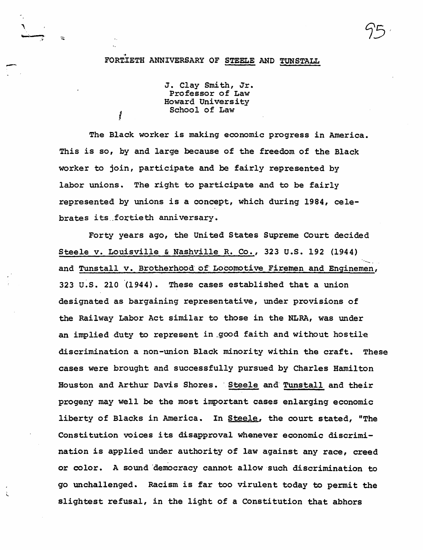## FORTIETH ANNIVERSARY OF STEELE AND TUNSTALL

 $\frac{1}{\sqrt{2}}$ 

J. Clay Smith, Jr. Professor of Law Howard University School of Law

I

The Black worker is making economic progress in America. This is so, by and large because of the freedom of the Black worker to join, participate and be fairly represented by labor unions. The right to participate and to be fairly represented by unions is a concept, which during 1984, celebrates its fortieth anniversary.

Forty years ago, the United States Supreme Court decided Steele v. Louisville & Nashville R. Co., 323 U.S. 192 (1944) and Tunstall v. Brotherhood' of' Locomotive Firemen and Enginemen, 323 u.s. 210 (1944). These cases established that a union designated as bargaining representative, under provisions of the Railway Labor Act similar to those in the NLRA, was under an implied duty to represent in good faith and without hostile discrimination a non-union Black minority within the craft. These cases were brought and successfully pursued by Charles Hamilton Houston and Arthur Davis Shores. Steele and Tunstall and their progeny may well be the most important cases enlarging economic liberty of Blacks in America. In Steele, the court stated, "The Constitution voices its disapproval whenever economic discrimination is applied under authority of law against any race, creed or color. A sound 'democracy cannot allow'such discrimination to go unchallenged. Racism is far too virulent today to permit the slightest refusal, in the light of a Constitution that abhors